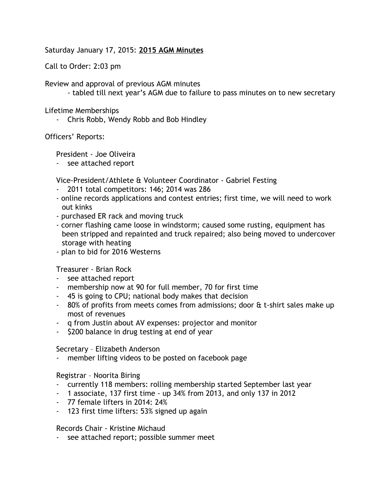Saturday January 17, 2015: **2015 AGM Minutes**

Call to Order: 2:03 pm

Review and approval of previous AGM minutes

- tabled till next year's AGM due to failure to pass minutes on to new secretary

Lifetime Memberships

- Chris Robb, Wendy Robb and Bob Hindley

Officers' Reports:

President - Joe Oliveira

- see attached report

Vice-President/Athlete & Volunteer Coordinator - Gabriel Festing

- 2011 total competitors: 146; 2014 was 286
- online records applications and contest entries; first time, we will need to work out kinks
- purchased ER rack and moving truck
- corner flashing came loose in windstorm; caused some rusting, equipment has been stripped and repainted and truck repaired; also being moved to undercover storage with heating
- plan to bid for 2016 Westerns

Treasurer - Brian Rock

- see attached report
- membership now at 90 for full member, 70 for first time
- 45 is going to CPU; national body makes that decision
- $-80\%$  of profits from meets comes from admissions; door  $\&$  t-shirt sales make up most of revenues
- q from Justin about AV expenses: projector and monitor
- \$200 balance in drug testing at end of year

Secretary – Elizabeth Anderson

- member lifting videos to be posted on facebook page

Registrar – Noorita Biring

- currently 118 members: rolling membership started September last year
- 1 associate, 137 first time up 34% from 2013, and only 137 in 2012
- 77 female lifters in 2014: 24%
- 123 first time lifters: 53% signed up again

Records Chair - Kristine Michaud

- see attached report; possible summer meet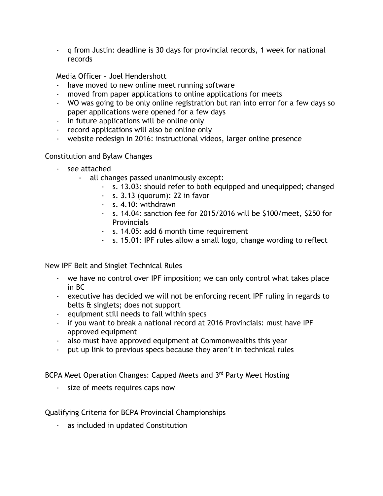- q from Justin: deadline is 30 days for provincial records, 1 week for national records

Media Officer – Joel Hendershott

- have moved to new online meet running software
- moved from paper applications to online applications for meets
- WO was going to be only online registration but ran into error for a few days so paper applications were opened for a few days
- in future applications will be online only
- record applications will also be online only
- website redesign in 2016: instructional videos, larger online presence

Constitution and Bylaw Changes

- see attached
	- all changes passed unanimously except:
		- s. 13.03: should refer to both equipped and unequipped; changed
		- s. 3.13 (quorum): 22 in favor
		- s. 4.10: withdrawn
		- s. 14.04: sanction fee for 2015/2016 will be \$100/meet, \$250 for **Provincials**
		- s. 14.05: add 6 month time requirement
		- s. 15.01: IPF rules allow a small logo, change wording to reflect

New IPF Belt and Singlet Technical Rules

- we have no control over IPF imposition; we can only control what takes place in BC
- executive has decided we will not be enforcing recent IPF ruling in regards to belts & singlets; does not support
- equipment still needs to fall within specs
- if you want to break a national record at 2016 Provincials: must have IPF approved equipment
- also must have approved equipment at Commonwealths this year
- put up link to previous specs because they aren't in technical rules

BCPA Meet Operation Changes: Capped Meets and 3rd Party Meet Hosting

- size of meets requires caps now

Qualifying Criteria for BCPA Provincial Championships

- as included in updated Constitution